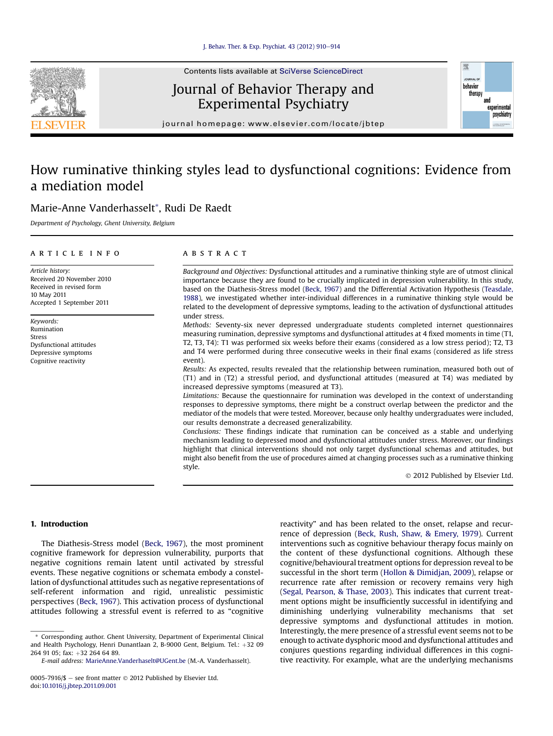

# Journal of Behavior Therapy and Experimental Psychiatry



journal homepage: [www.elsevier.com/locate/jbtep](http://www.elsevier.com/locate/jbtep)

# How ruminative thinking styles lead to dysfunctional cognitions: Evidence from a mediation model

# Marie-Anne Vanderhasselt\*, Rudi De Raedt

Department of Psychology, Ghent University, Belgium

# article info

Article history: Received 20 November 2010 Received in revised form 10 May 2011 Accepted 1 September 2011

Keywords: Rumination Stress Dysfunctional attitudes Depressive symptoms Cognitive reactivity

#### **ABSTRACT**

Background and Objectives: Dysfunctional attitudes and a ruminative thinking style are of utmost clinical importance because they are found to be crucially implicated in depression vulnerability. In this study, based on the Diathesis-Stress model (Beck, 1967) and the Differential Activation Hypothesis (Teasdale, 1988), we investigated whether inter-individual differences in a ruminative thinking style would be related to the development of depressive symptoms, leading to the activation of dysfunctional attitudes under stress.

Methods: Seventy-six never depressed undergraduate students completed internet questionnaires measuring rumination, depressive symptoms and dysfunctional attitudes at 4 fixed moments in time (T1, T2, T3, T4): T1 was performed six weeks before their exams (considered as a low stress period); T2, T3 and T4 were performed during three consecutive weeks in their final exams (considered as life stress event).

Results: As expected, results revealed that the relationship between rumination, measured both out of (T1) and in (T2) a stressful period, and dysfunctional attitudes (measured at T4) was mediated by increased depressive symptoms (measured at T3).

Limitations: Because the questionnaire for rumination was developed in the context of understanding responses to depressive symptoms, there might be a construct overlap between the predictor and the mediator of the models that were tested. Moreover, because only healthy undergraduates were included, our results demonstrate a decreased generalizability.

Conclusions: These findings indicate that rumination can be conceived as a stable and underlying mechanism leading to depressed mood and dysfunctional attitudes under stress. Moreover, our findings highlight that clinical interventions should not only target dysfunctional schemas and attitudes, but might also benefit from the use of procedures aimed at changing processes such as a ruminative thinking style.

2012 Published by Elsevier Ltd.

# 1. Introduction

The Diathesis-Stress model (Beck, 1967), the most prominent cognitive framework for depression vulnerability, purports that negative cognitions remain latent until activated by stressful events. These negative cognitions or schemata embody a constellation of dysfunctional attitudes such as negative representations of self-referent information and rigid, unrealistic pessimistic perspectives (Beck, 1967). This activation process of dysfunctional attitudes following a stressful event is referred to as "cognitive reactivity" and has been related to the onset, relapse and recurrence of depression (Beck, Rush, Shaw, & Emery, 1979). Current interventions such as cognitive behaviour therapy focus mainly on the content of these dysfunctional cognitions. Although these cognitive/behavioural treatment options for depression reveal to be successful in the short term (Hollon & Dimidjan, 2009), relapse or recurrence rate after remission or recovery remains very high (Segal, Pearson, & Thase, 2003). This indicates that current treatment options might be insufficiently successful in identifying and diminishing underlying vulnerability mechanisms that set depressive symptoms and dysfunctional attitudes in motion. Interestingly, the mere presence of a stressful event seems not to be enough to activate dysphoric mood and dysfunctional attitudes and conjures questions regarding individual differences in this cognitive reactivity. For example, what are the underlying mechanisms

<sup>\*</sup> Corresponding author. Ghent University, Department of Experimental Clinical and Health Psychology, Henri Dunantlaan 2, B-9000 Gent, Belgium. Tel.: +32 09 264 91 05; fax: +32 264 64 89.

E-mail address: [MarieAnne.Vanderhaselt@UGent.be](mailto:MarieAnne.Vanderhaselt@UGent.be) (M.-A. Vanderhasselt).

<sup>0005-7916/\$ -</sup> see front matter  $\odot$  2012 Published by Elsevier Ltd. doi:[10.1016/j.jbtep.2011.09.001](http://dx.doi.org/10.1016/j.jbtep.2011.09.001)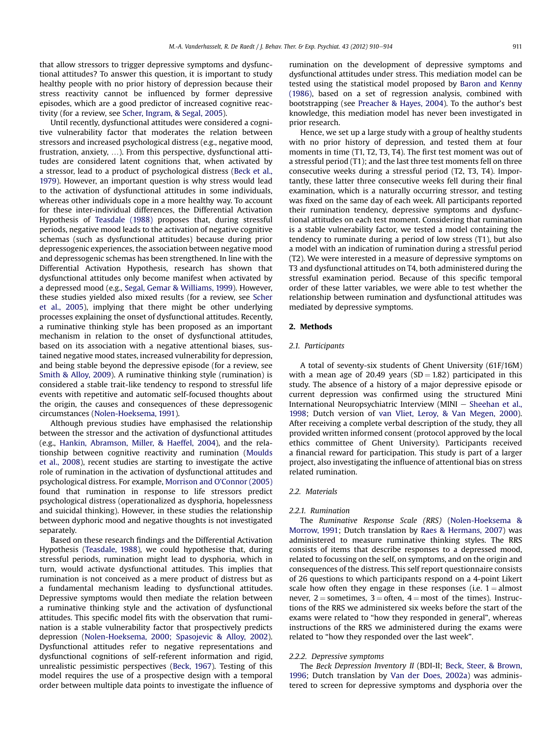that allow stressors to trigger depressive symptoms and dysfunctional attitudes? To answer this question, it is important to study healthy people with no prior history of depression because their stress reactivity cannot be influenced by former depressive episodes, which are a good predictor of increased cognitive reactivity (for a review, see Scher, Ingram, & Segal, 2005).

Until recently, dysfunctional attitudes were considered a cognitive vulnerability factor that moderates the relation between stressors and increased psychological distress (e.g., negative mood, frustration, anxiety, ...). From this perspective, dysfunctional attitudes are considered latent cognitions that, when activated by a stressor, lead to a product of psychological distress (Beck et al., 1979). However, an important question is why stress would lead to the activation of dysfunctional attitudes in some individuals, whereas other individuals cope in a more healthy way. To account for these inter-individual differences, the Differential Activation Hypothesis of Teasdale (1988) proposes that, during stressful periods, negative mood leads to the activation of negative cognitive schemas (such as dysfunctional attitudes) because during prior depressogenic experiences, the association between negative mood and depressogenic schemas has been strengthened. In line with the Differential Activation Hypothesis, research has shown that dysfunctional attitudes only become manifest when activated by a depressed mood (e.g., Segal, Gemar & Williams, 1999). However, these studies yielded also mixed results (for a review, see Scher et al., 2005), implying that there might be other underlying processes explaining the onset of dysfunctional attitudes. Recently, a ruminative thinking style has been proposed as an important mechanism in relation to the onset of dysfunctional attitudes, based on its association with a negative attentional biases, sustained negative mood states, increased vulnerability for depression, and being stable beyond the depressive episode (for a review, see Smith & Alloy, 2009). A ruminative thinking style (rumination) is considered a stable trait-like tendency to respond to stressful life events with repetitive and automatic self-focused thoughts about the origin, the causes and consequences of these depressogenic circumstances (Nolen-Hoeksema, 1991).

Although previous studies have emphasised the relationship between the stressor and the activation of dysfunctional attitudes (e.g., Hankin, Abramson, Miller, & Haeffel, 2004), and the relationship between cognitive reactivity and rumination (Moulds et al., 2008), recent studies are starting to investigate the active role of rumination in the activation of dysfunctional attitudes and psychological distress. For example, Morrison and O'Connor (2005) found that rumination in response to life stressors predict psychological distress (operationalized as dysphoria, hopelessness and suicidal thinking). However, in these studies the relationship between dyphoric mood and negative thoughts is not investigated separately.

Based on these research findings and the Differential Activation Hypothesis (Teasdale, 1988), we could hypothesise that, during stressful periods, rumination might lead to dysphoria, which in turn, would activate dysfunctional attitudes. This implies that rumination is not conceived as a mere product of distress but as a fundamental mechanism leading to dysfunctional attitudes. Depressive symptoms would then mediate the relation between a ruminative thinking style and the activation of dysfunctional attitudes. This specific model fits with the observation that rumination is a stable vulnerability factor that prospectively predicts depression (Nolen-Hoeksema, 2000; Spasojevic & Alloy, 2002). Dysfunctional attitudes refer to negative representations and dysfunctional cognitions of self-referent information and rigid, unrealistic pessimistic perspectives (Beck, 1967). Testing of this model requires the use of a prospective design with a temporal order between multiple data points to investigate the influence of rumination on the development of depressive symptoms and dysfunctional attitudes under stress. This mediation model can be tested using the statistical model proposed by Baron and Kenny (1986), based on a set of regression analysis, combined with bootstrapping (see Preacher & Hayes, 2004). To the author's best knowledge, this mediation model has never been investigated in prior research.

Hence, we set up a large study with a group of healthy students with no prior history of depression, and tested them at four moments in time (T1, T2, T3, T4). The first test moment was out of a stressful period (T1); and the last three test moments fell on three consecutive weeks during a stressful period (T2, T3, T4). Importantly, these latter three consecutive weeks fell during their final examination, which is a naturally occurring stressor, and testing was fixed on the same day of each week. All participants reported their rumination tendency, depressive symptoms and dysfunctional attitudes on each test moment. Considering that rumination is a stable vulnerability factor, we tested a model containing the tendency to ruminate during a period of low stress (T1), but also a model with an indication of rumination during a stressful period (T2). We were interested in a measure of depressive symptoms on T3 and dysfunctional attitudes on T4, both administered during the stressful examination period. Because of this specific temporal order of these latter variables, we were able to test whether the relationship between rumination and dysfunctional attitudes was mediated by depressive symptoms.

# 2. Methods

# 2.1. Participants

A total of seventy-six students of Ghent University (61F/16M) with a mean age of 20.49 years  $(SD = 1.82)$  participated in this study. The absence of a history of a major depressive episode or current depression was confirmed using the structured Mini International Neuropsychiatric Interview (MINI  $-$  Sheehan et al., 1998; Dutch version of van Vliet, Leroy, & Van Megen, 2000). After receiving a complete verbal description of the study, they all provided written informed consent (protocol approved by the local ethics committee of Ghent University). Participants received a financial reward for participation. This study is part of a larger project, also investigating the influence of attentional bias on stress related rumination.

### 2.2. Materials

### 2.2.1. Rumination

The Ruminative Response Scale (RRS) (Nolen-Hoeksema & Morrow, 1991; Dutch translation by Raes & Hermans, 2007) was administered to measure ruminative thinking styles. The RRS consists of items that describe responses to a depressed mood, related to focussing on the self, on symptoms, and on the origin and consequences of the distress. This self report questionnaire consists of 26 questions to which participants respond on a 4-point Likert scale how often they engage in these responses (i.e.  $1 =$  almost never,  $2 =$  sometimes,  $3 =$  often,  $4 =$  most of the times). Instructions of the RRS we administered six weeks before the start of the exams were related to "how they responded in general", whereas instructions of the RRS we administered during the exams were related to "how they responded over the last week".

# 2.2.2. Depressive symptoms

The Beck Depression Inventory II (BDI-II; Beck, Steer, & Brown, 1996; Dutch translation by Van der Does, 2002a) was administered to screen for depressive symptoms and dysphoria over the